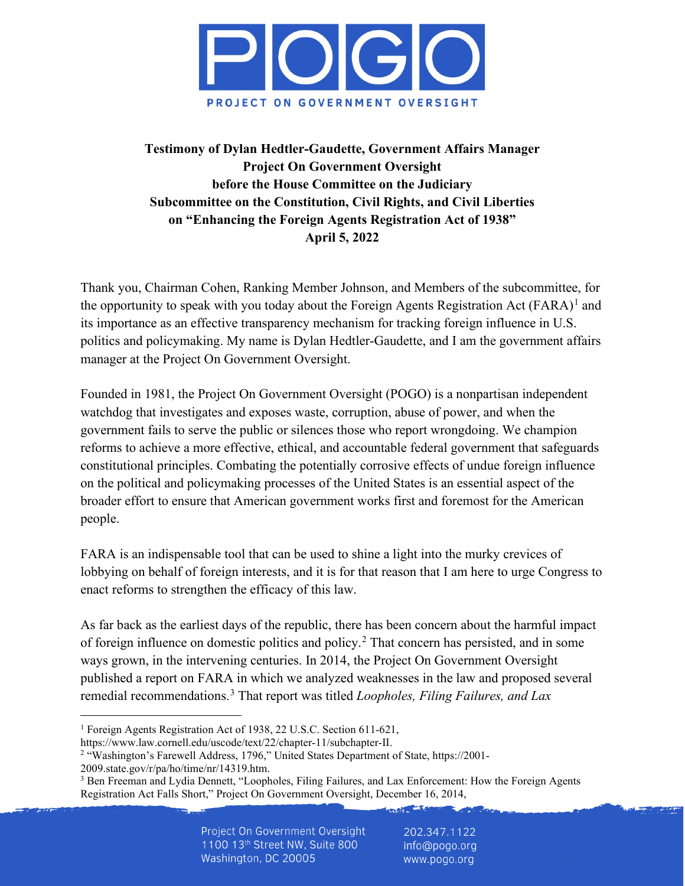

# **Testimony of Dylan Hedtler-Gaudette, Government Affairs Manager Project On Government Oversight before the House Committee on the Judiciary Subcommittee on the Constitution, Civil Rights, and Civil Liberties on "Enhancing the Foreign Agents Registration Act of 1938" April 5, 2022**

Thank you, Chairman Cohen, Ranking Member Johnson, and Members of the subcommittee, for the opportunity to speak with you today about the Foreign Agents Registration Act  $(FARA)^1$  $(FARA)^1$  and its importance as an effective transparency mechanism for tracking foreign influence in U.S. politics and policymaking. My name is Dylan Hedtler-Gaudette, and I am the government affairs manager at the Project On Government Oversight.

Founded in 1981, the Project On Government Oversight (POGO) is a nonpartisan independent watchdog that investigates and exposes waste, corruption, abuse of power, and when the government fails to serve the public or silences those who report wrongdoing. We champion reforms to achieve a more effective, ethical, and accountable federal government that safeguards constitutional principles. Combating the potentially corrosive effects of undue foreign influence on the political and policymaking processes of the United States is an essential aspect of the broader effort to ensure that American government works first and foremost for the American people.

FARA is an indispensable tool that can be used to shine a light into the murky crevices of lobbying on behalf of foreign interests, and it is for that reason that I am here to urge Congress to enact reforms to strengthen the efficacy of this law.

As far back as the earliest days of the republic, there has been concern about the harmful impact of foreign influence on domestic politics and policy.[2](#page-0-1) That concern has persisted, and in some ways grown, in the intervening centuries. In 2014, the Project On Government Oversight published a report on FARA in which we analyzed weaknesses in the law and proposed several remedial recommendations.[3](#page-0-2) That report was titled *Loopholes, Filing Failures, and Lax* 

 $-3.57 - 11.$ 

<span id="page-0-0"></span><sup>1</sup> Foreign Agents Registration Act of 1938, 22 U.S.C. Section 611-621,

https://www.law.cornell.edu/uscode/text/22/chapter-11/subchapter-II.<br><sup>2</sup> "Washington's Farewell Address, 1796," United States Department of State, https://2001-

<span id="page-0-2"></span><span id="page-0-1"></span>

<sup>2009.</sup>state.gov/r/pa/ho/time/nr/14319.htm.<br><sup>3</sup> Ben Freeman and Lydia Dennett, "Loopholes, Filing Failures, and Lax Enforcement: How the Foreign Agents Registration Act Falls Short," Project On Government Oversight, December 16, 2014,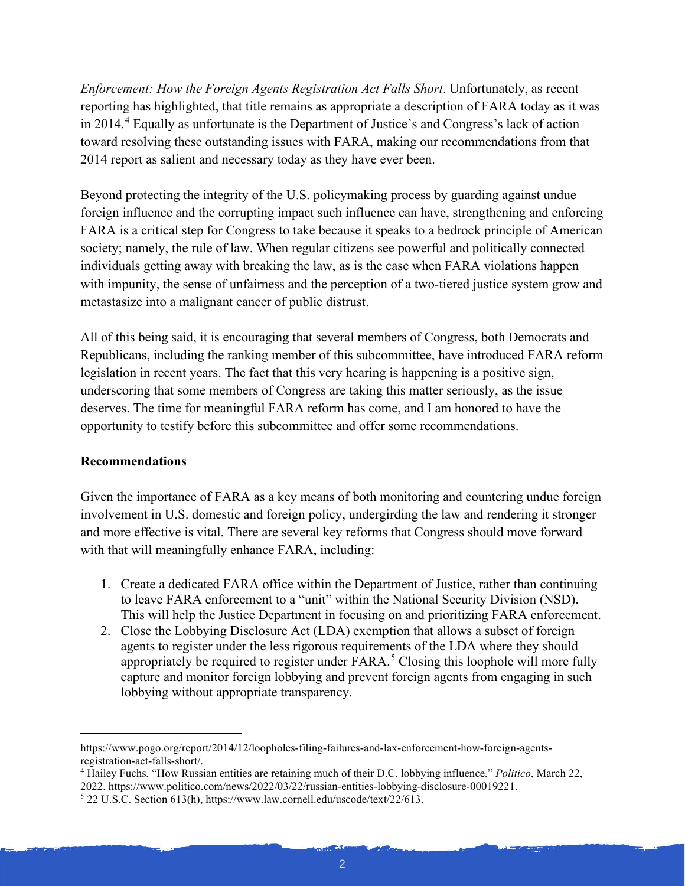*Enforcement: How the Foreign Agents Registration Act Falls Short*. Unfortunately, as recent reporting has highlighted, that title remains as appropriate a description of FARA today as it was in 2014.[4](#page-1-0) Equally as unfortunate is the Department of Justice's and Congress's lack of action toward resolving these outstanding issues with FARA, making our recommendations from that 2014 report as salient and necessary today as they have ever been.

Beyond protecting the integrity of the U.S. policymaking process by guarding against undue foreign influence and the corrupting impact such influence can have, strengthening and enforcing FARA is a critical step for Congress to take because it speaks to a bedrock principle of American society; namely, the rule of law. When regular citizens see powerful and politically connected individuals getting away with breaking the law, as is the case when FARA violations happen with impunity, the sense of unfairness and the perception of a two-tiered justice system grow and metastasize into a malignant cancer of public distrust.

All of this being said, it is encouraging that several members of Congress, both Democrats and Republicans, including the ranking member of this subcommittee, have introduced FARA reform legislation in recent years. The fact that this very hearing is happening is a positive sign, underscoring that some members of Congress are taking this matter seriously, as the issue deserves. The time for meaningful FARA reform has come, and I am honored to have the opportunity to testify before this subcommittee and offer some recommendations.

## **Recommendations**

Given the importance of FARA as a key means of both monitoring and countering undue foreign involvement in U.S. domestic and foreign policy, undergirding the law and rendering it stronger and more effective is vital. There are several key reforms that Congress should move forward with that will meaningfully enhance FARA, including:

- 1. Create a dedicated FARA office within the Department of Justice, rather than continuing to leave FARA enforcement to a "unit" within the National Security Division (NSD). This will help the Justice Department in focusing on and prioritizing FARA enforcement.
- 2. Close the Lobbying Disclosure Act (LDA) exemption that allows a subset of foreign agents to register under the less rigorous requirements of the LDA where they should appropriately be required to register under FARA.<sup>[5](#page-1-1)</sup> Closing this loophole will more fully capture and monitor foreign lobbying and prevent foreign agents from engaging in such lobbying without appropriate transparency.

https://www.pogo.org/report/2014/12/loopholes-filing-failures-and-lax-enforcement-how-foreign-agentsregistration-act-falls-short/.

<span id="page-1-0"></span><sup>4</sup> Hailey Fuchs, "How Russian entities are retaining much of their D.C. lobbying influence," *Politico*, March 22, 2022, https://www.politico.com/news/2022/03/22/russian-entities-lobbying-disclosure-00019221. 5 22 U.S.C. Section 613(h), https://www.law.cornell.edu/uscode/text/22/613.

<span id="page-1-1"></span>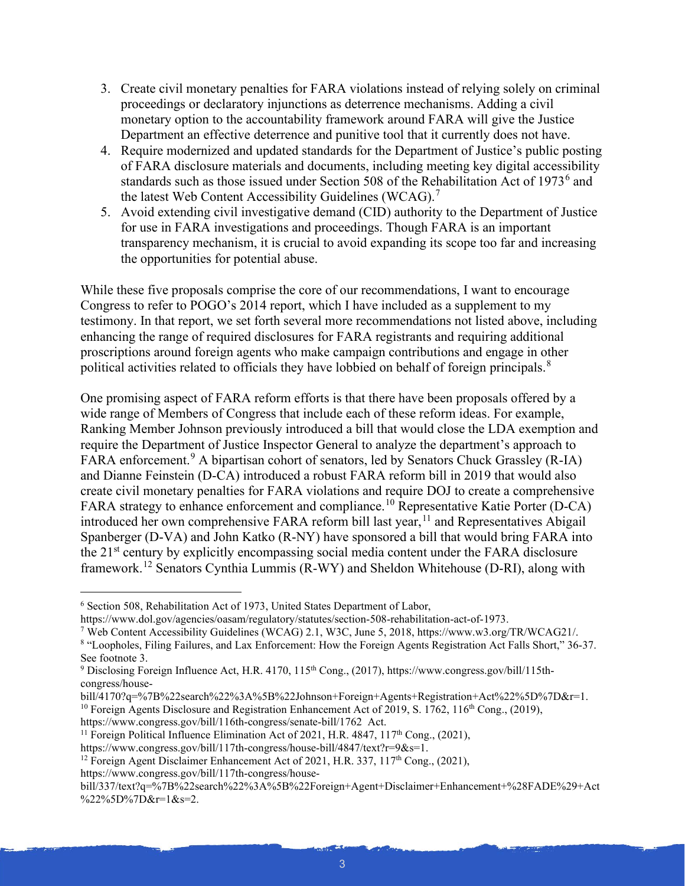- 3. Create civil monetary penalties for FARA violations instead of relying solely on criminal proceedings or declaratory injunctions as deterrence mechanisms. Adding a civil monetary option to the accountability framework around FARA will give the Justice Department an effective deterrence and punitive tool that it currently does not have.
- 4. Require modernized and updated standards for the Department of Justice's public posting of FARA disclosure materials and documents, including meeting key digital accessibility standards such as those issued under Section 508 of the Rehabilitation Act of 1973 $^6$  $^6$  and the latest Web Content Accessibility Guidelines (WCAG).<sup>[7](#page-2-1)</sup>
- 5. Avoid extending civil investigative demand (CID) authority to the Department of Justice for use in FARA investigations and proceedings. Though FARA is an important transparency mechanism, it is crucial to avoid expanding its scope too far and increasing the opportunities for potential abuse.

While these five proposals comprise the core of our recommendations, I want to encourage Congress to refer to POGO's 2014 report, which I have included as a supplement to my testimony. In that report, we set forth several more recommendations not listed above, including enhancing the range of required disclosures for FARA registrants and requiring additional proscriptions around foreign agents who make campaign contributions and engage in other political activities related to officials they have lobbied on behalf of foreign principals.<sup>[8](#page-2-2)</sup>

One promising aspect of FARA reform efforts is that there have been proposals offered by a wide range of Members of Congress that include each of these reform ideas. For example, Ranking Member Johnson previously introduced a bill that would close the LDA exemption and require the Department of Justice Inspector General to analyze the department's approach to FARA enforcement.<sup>[9](#page-2-3)</sup> A bipartisan cohort of senators, led by Senators Chuck Grassley (R-IA) and Dianne Feinstein (D-CA) introduced a robust FARA reform bill in 2019 that would also create civil monetary penalties for FARA violations and require DOJ to create a comprehensive FARA strategy to enhance enforcement and compliance.<sup>[10](#page-2-4)</sup> Representative Katie Porter (D-CA) introduced her own comprehensive FARA reform bill last year,  $11$  and Representatives Abigail Spanberger (D-VA) and John Katko (R-NY) have sponsored a bill that would bring FARA into the 21<sup>st</sup> century by explicitly encompassing social media content under the FARA disclosure framework.[12](#page-2-6) Senators Cynthia Lummis (R-WY) and Sheldon Whitehouse (D-RI), along with

<span id="page-2-5"></span><sup>11</sup> Foreign Political Influence Elimination Act of 2021, H.R. 4847, 117<sup>th</sup> Cong., (2021),

https://www.congress.gov/bill/117th-congress/house-

<span id="page-2-0"></span> $6$  Section 508, Rehabilitation Act of 1973, United States Department of Labor,<br>https://www.dol.gov/agencies/oasam/regulatory/statutes/section-508-rehabilitation-act-of-1973.

<span id="page-2-1"></span><sup>&</sup>lt;sup>7</sup> Web Content Accessibility Guidelines (WCAG) 2.1, W3C, June 5, 2018, https://www.w3.org/TR/WCAG21/.

<span id="page-2-2"></span><sup>8</sup> "Loopholes, Filing Failures, and Lax Enforcement: How the Foreign Agents Registration Act Falls Short," 36-37. See footnote 3.

<span id="page-2-3"></span><sup>&</sup>lt;sup>9</sup> Disclosing Foreign Influence Act, H.R. 4170, 115<sup>th</sup> Cong., (2017), https://www.congress.gov/bill/115thcongress/house-

bill/4170?q=%7B%22search%22%3A%5B%22Johnson+Foreign+Agents+Registration+Act%22%5D%7D&r=1.

<span id="page-2-4"></span><sup>&</sup>lt;sup>10</sup> Foreign Agents Disclosure and Registration Enhancement Act of 2019, S. 1762, 116<sup>th</sup> Cong., (2019), https://www.congress.gov/bill/116th-congress/senate-bill/1762 Act.

<span id="page-2-6"></span>https://www.congress.gov/bill/117th-congress/house-bill/4847/text?r=9&s=1.<br><sup>12</sup> Foreign Agent Disclaimer Enhancement Act of 2021, H.R. 337, 117<sup>th</sup> Cong., (2021),

bill/337/text?q=%7B%22search%22%3A%5B%22Foreign+Agent+Disclaimer+Enhancement+%28FADE%29+Act %22%5D%7D&r=1&s=2.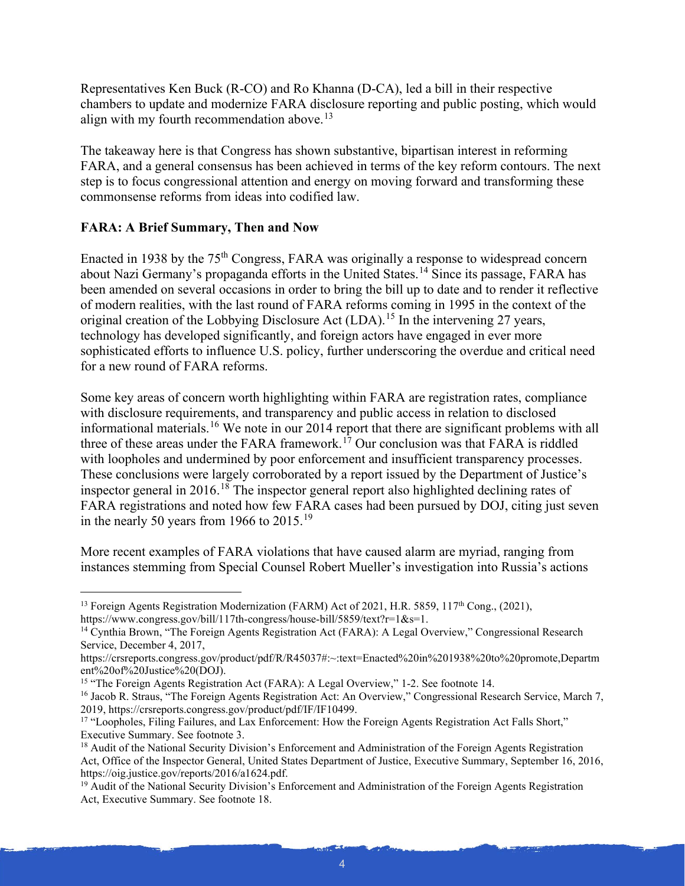Representatives Ken Buck (R-CO) and Ro Khanna (D-CA), led a bill in their respective chambers to update and modernize FARA disclosure reporting and public posting, which would align with my fourth recommendation above.<sup>[13](#page-3-0)</sup>

The takeaway here is that Congress has shown substantive, bipartisan interest in reforming FARA, and a general consensus has been achieved in terms of the key reform contours. The next step is to focus congressional attention and energy on moving forward and transforming these commonsense reforms from ideas into codified law.

# **FARA: A Brief Summary, Then and Now**

Enacted in 1938 by the 75<sup>th</sup> Congress, FARA was originally a response to widespread concern about Nazi Germany's propaganda efforts in the United States.[14](#page-3-1) Since its passage, FARA has been amended on several occasions in order to bring the bill up to date and to render it reflective of modern realities, with the last round of FARA reforms coming in 1995 in the context of the original creation of the Lobbying Disclosure Act (LDA).<sup>[15](#page-3-2)</sup> In the intervening 27 years, technology has developed significantly, and foreign actors have engaged in ever more sophisticated efforts to influence U.S. policy, further underscoring the overdue and critical need for a new round of FARA reforms.

Some key areas of concern worth highlighting within FARA are registration rates, compliance with disclosure requirements, and transparency and public access in relation to disclosed informational materials.[16](#page-3-3) We note in our 2014 report that there are significant problems with all three of these areas under the FARA framework.<sup>[17](#page-3-4)</sup> Our conclusion was that FARA is riddled with loopholes and undermined by poor enforcement and insufficient transparency processes. These conclusions were largely corroborated by a report issued by the Department of Justice's inspector general in 2016.<sup>[18](#page-3-5)</sup> The inspector general report also highlighted declining rates of FARA registrations and noted how few FARA cases had been pursued by DOJ, citing just seven in the nearly 50 years from [19](#page-3-6)66 to  $2015.^{19}$ 

More recent examples of FARA violations that have caused alarm are myriad, ranging from instances stemming from Special Counsel Robert Mueller's investigation into Russia's actions

<span id="page-3-0"></span><sup>&</sup>lt;sup>13</sup> Foreign Agents Registration Modernization (FARM) Act of 2021, H.R. 5859, 117<sup>th</sup> Cong., (2021), https://www.congress.gov/bill/117th-congress/house-bill/5859/text?r=1&s=1.

<span id="page-3-1"></span><sup>&</sup>lt;sup>14</sup> Cynthia Brown, "The Foreign Agents Registration Act (FARA): A Legal Overview," Congressional Research Service, December 4, 2017,

https://crsreports.congress.gov/product/pdf/R/R45037#:~:text=Enacted%20in%201938%20to%20promote,Departm ent%20of%20Justice%20(DOJ).<br><sup>15</sup> "The Foreign Agents Registration Act (FARA): A Legal Overview," 1-2. See footnote 14.

<span id="page-3-3"></span><span id="page-3-2"></span><sup>&</sup>lt;sup>16</sup> Jacob R. Straus, "The Foreign Agents Registration Act: An Overview," Congressional Research Service, March 7, 2019, https://crsreports.congress.gov/product/pdf/IF/IF10499.

<span id="page-3-4"></span><sup>&</sup>lt;sup>17</sup> "Loopholes, Filing Failures, and Lax Enforcement: How the Foreign Agents Registration Act Falls Short," Executive Summary. See footnote 3.

<span id="page-3-5"></span><sup>&</sup>lt;sup>18</sup> Audit of the National Security Division's Enforcement and Administration of the Foreign Agents Registration Act, Office of the Inspector General, United States Department of Justice, Executive Summary, September 16, 2016, https://oig.justice.gov/reports/2016/a1624.pdf.

<span id="page-3-6"></span><sup>&</sup>lt;sup>19</sup> Audit of the National Security Division's Enforcement and Administration of the Foreign Agents Registration Act, Executive Summary. See footnote 18.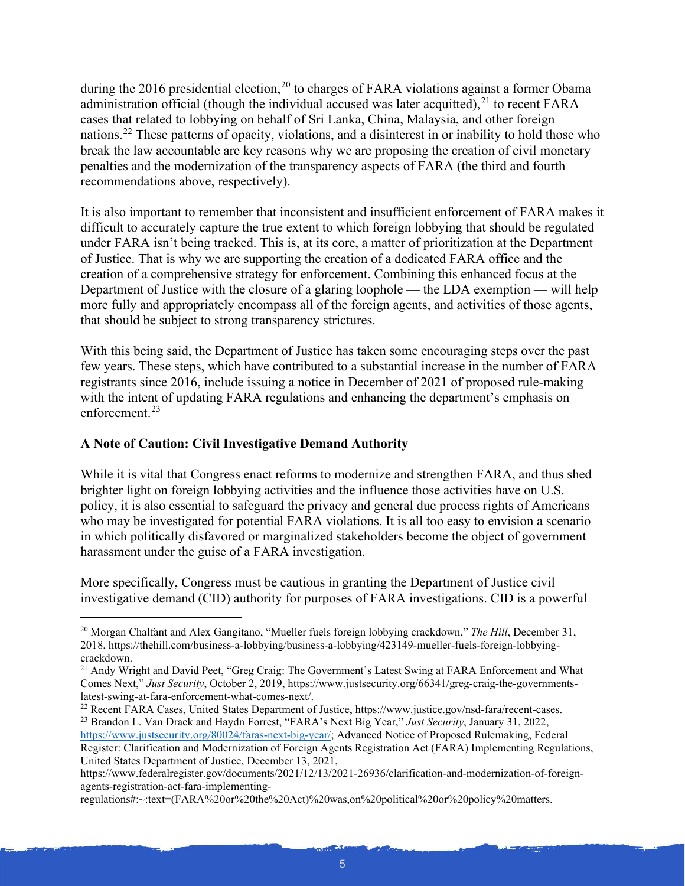during the [20](#page-4-0)16 presidential election,<sup>20</sup> to charges of FARA violations against a former Obama administration official (though the individual accused was later acquitted), $^{21}$  $^{21}$  $^{21}$  to recent FARA cases that related to lobbying on behalf of Sri Lanka, China, Malaysia, and other foreign nations.[22](#page-4-2) These patterns of opacity, violations, and a disinterest in or inability to hold those who break the law accountable are key reasons why we are proposing the creation of civil monetary penalties and the modernization of the transparency aspects of FARA (the third and fourth recommendations above, respectively).

It is also important to remember that inconsistent and insufficient enforcement of FARA makes it difficult to accurately capture the true extent to which foreign lobbying that should be regulated under FARA isn't being tracked. This is, at its core, a matter of prioritization at the Department of Justice. That is why we are supporting the creation of a dedicated FARA office and the creation of a comprehensive strategy for enforcement. Combining this enhanced focus at the Department of Justice with the closure of a glaring loophole — the LDA exemption — will help more fully and appropriately encompass all of the foreign agents, and activities of those agents, that should be subject to strong transparency strictures.

With this being said, the Department of Justice has taken some encouraging steps over the past few years. These steps, which have contributed to a substantial increase in the number of FARA registrants since 2016, include issuing a notice in December of 2021 of proposed rule-making with the intent of updating FARA regulations and enhancing the department's emphasis on enforcement.[23](#page-4-3)

## **A Note of Caution: Civil Investigative Demand Authority**

While it is vital that Congress enact reforms to modernize and strengthen FARA, and thus shed brighter light on foreign lobbying activities and the influence those activities have on U.S. policy, it is also essential to safeguard the privacy and general due process rights of Americans who may be investigated for potential FARA violations. It is all too easy to envision a scenario in which politically disfavored or marginalized stakeholders become the object of government harassment under the guise of a FARA investigation.

More specifically, Congress must be cautious in granting the Department of Justice civil investigative demand (CID) authority for purposes of FARA investigations. CID is a powerful

regulations#:~:text=(FARA%20or%20the%20Act)%20was,on%20political%20or%20policy%20matters.

<span id="page-4-0"></span><sup>20</sup> Morgan Chalfant and Alex Gangitano, "Mueller fuels foreign lobbying crackdown," *The Hill*, December 31, 2018, https://thehill.com/business-a-lobbying/business-a-lobbying/423149-mueller-fuels-foreign-lobbyingcrackdown.

<span id="page-4-1"></span><sup>&</sup>lt;sup>21</sup> Andy Wright and David Peet, "Greg Craig: The Government's Latest Swing at FARA Enforcement and What Comes Next," *Just Security*, October 2, 2019, https://www.justsecurity.org/66341/greg-craig-the-governments-latest-swing-at-fara-enforcement-what-comes-next/.

<span id="page-4-3"></span><span id="page-4-2"></span><sup>&</sup>lt;sup>22</sup> Recent FARA Cases, United States Department of Justice, https://www.justice.gov/nsd-fara/recent-cases. <sup>23</sup> Brandon L. Van Drack and Haydn Forrest, "FARA's Next Big Year," *Just Security*, January 31, 2022,

[https://www.justsecurity.org/80024/faras-next-big-year/;](https://www.justsecurity.org/80024/faras-next-big-year/) Advanced Notice of Proposed Rulemaking, Federal Register: Clarification and Modernization of Foreign Agents Registration Act (FARA) Implementing Regulations, United States Department of Justice, December 13, 2021,

https://www.federalregister.gov/documents/2021/12/13/2021-26936/clarification-and-modernization-of-foreignagents-registration-act-fara-implementing-